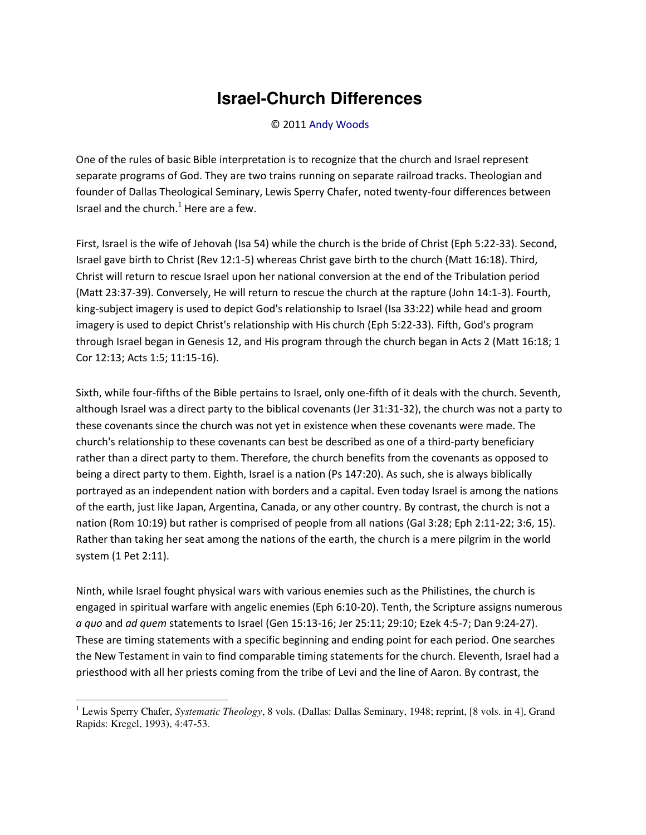## **Israel-Church Differences**

© 2011 [Andy Woods](http://www.spiritandtruth.org/id/aw.htm)

One of the rules of basic Bible interpretation is to recognize that the church and Israel represent separate programs of God. They are two trains running on separate railroad tracks. Theologian and founder of Dallas Theological Seminary, Lewis Sperry Chafer, noted twenty-four differences between Israel and the church. $^1$  Here are a few.

First, Israel is the wife of Jehovah (Isa 54) while the church is the bride of Christ (Eph 5:22-33). Second, Israel gave birth to Christ (Rev 12:1-5) whereas Christ gave birth to the church (Matt 16:18). Third, Christ will return to rescue Israel upon her national conversion at the end of the Tribulation period (Matt 23:37-39). Conversely, He will return to rescue the church at the rapture (John 14:1-3). Fourth, king-subject imagery is used to depict God's relationship to Israel (Isa 33:22) while head and groom imagery is used to depict Christ's relationship with His church (Eph 5:22-33). Fifth, God's program through Israel began in Genesis 12, and His program through the church began in Acts 2 (Matt 16:18; 1 Cor 12:13; Acts 1:5; 11:15-16).

Sixth, while four-fifths of the Bible pertains to Israel, only one-fifth of it deals with the church. Seventh, although Israel was a direct party to the biblical covenants (Jer 31:31-32), the church was not a party to these covenants since the church was not yet in existence when these covenants were made. The church's relationship to these covenants can best be described as one of a third-party beneficiary rather than a direct party to them. Therefore, the church benefits from the covenants as opposed to being a direct party to them. Eighth, Israel is a nation (Ps 147:20). As such, she is always biblically portrayed as an independent nation with borders and a capital. Even today Israel is among the nations of the earth, just like Japan, Argentina, Canada, or any other country. By contrast, the church is not a nation (Rom 10:19) but rather is comprised of people from all nations (Gal 3:28; Eph 2:11-22; 3:6, 15). Rather than taking her seat among the nations of the earth, the church is a mere pilgrim in the world system (1 Pet 2:11).

Ninth, while Israel fought physical wars with various enemies such as the Philistines, the church is engaged in spiritual warfare with angelic enemies (Eph 6:10-20). Tenth, the Scripture assigns numerous *a quo* and *ad quem* statements to Israel (Gen 15:13-16; Jer 25:11; 29:10; Ezek 4:5-7; Dan 9:24-27). These are timing statements with a specific beginning and ending point for each period. One searches the New Testament in vain to find comparable timing statements for the church. Eleventh, Israel had a priesthood with all her priests coming from the tribe of Levi and the line of Aaron. By contrast, the

 $\overline{\phantom{0}}$ 

<sup>&</sup>lt;sup>1</sup> Lewis Sperry Chafer, *Systematic Theology*, 8 vols. (Dallas: Dallas Seminary, 1948; reprint, [8 vols. in 4], Grand Rapids: Kregel, 1993), 4:47-53.